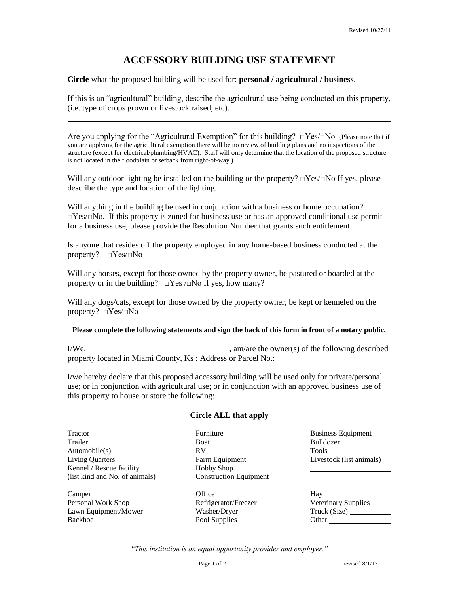## **ACCESSORY BUILDING USE STATEMENT**

## **Circle** what the proposed building will be used for: **personal / agricultural / business**.

If this is an "agricultural" building, describe the agricultural use being conducted on this property, (i.e. type of crops grown or livestock raised, etc).

Are you applying for the "Agricultural Exemption" for this building?  $\square Yes/\square No$  (Please note that if you are applying for the agricultural exemption there will be no review of building plans and no inspections of the structure (except for electrical/plumbing/HVAC). Staff will only determine that the location of the proposed structure is not located in the floodplain or setback from right-of-way.)

Will any outdoor lighting be installed on the building or the property?  $\square$ Yes/ $\square$ No If yes, please describe the type and location of the lighting.

Will anything in the building be used in conjunction with a business or home occupation?  $\Box$ Yes/ $\Box$ No. If this property is zoned for business use or has an approved conditional use permit for a business use, please provide the Resolution Number that grants such entitlement.

Is anyone that resides off the property employed in any home-based business conducted at the property? □Yes/□No

Will any horses, except for those owned by the property owner, be pastured or boarded at the property or in the building?  $\square$  Yes  $\square$ No If yes, how many?

Will any dogs/cats, except for those owned by the property owner, be kept or kenneled on the property? □Yes/□No

## **Please complete the following statements and sign the back of this form in front of a notary public.**

I/We, , am/are the owner(s) of the following described property located in Miami County, Ks : Address or Parcel No.:

I/we hereby declare that this proposed accessory building will be used only for private/personal use; or in conjunction with agricultural use; or in conjunction with an approved business use of this property to house or store the following:

## **Circle ALL that apply**

Trailer Boat Boat Bulldozer Automobile(s) RV Tools Living Quarters Farm Equipment Livestock (list animals) Kennel / Rescue facility Hobby Shop (list kind and No. of animals) Construction Equipment

Camper Camper Control Control Control Control Control Control Control Control Control Control Control Control Control Control Control Control Control Control Control Control Control Control Control Control Control Control Personal Work Shop Refrigerator/Freezer Lawn Equipment/Mower Washer/Dryer Backhoe Pool Supplies

Tractor **Furniture Business Equipment** 

| Hay                        |
|----------------------------|
| <b>Veterinary Supplies</b> |
| Truck (Size)               |
| Other                      |

*"This institution is an equal opportunity provider and employer."*